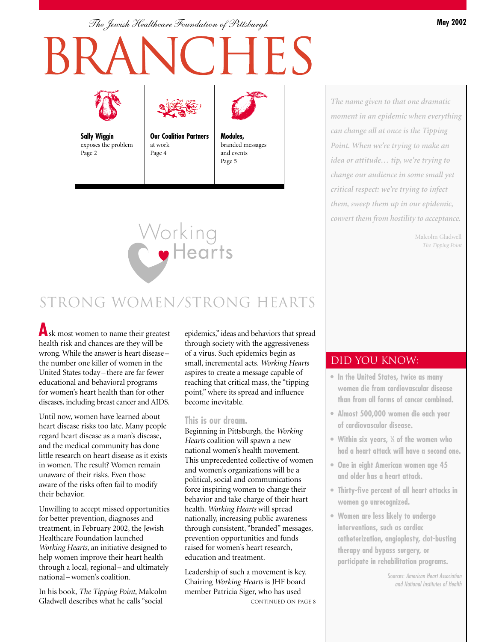*The Jewish Healthcare Foundation of Pittsburgh*

# CHES



**Sally Wiggin** exposes the problem Page 2



**Our Coalition Partners** at work Page 4

**Modules,** branded messages and events Page 5

# Norking<br>**Mearts**

### *The name given to that one dramatic moment in an epidemic when everything can change all at once is the Tipping Point. When we're trying to make an idea or attitude… tip, we're trying to change our audience in some small yet critical respect: we're trying to infect them, sweep them up in our epidemic, convert them from hostility to acceptance.*

Malcolm Gladwell *The Tipping Point*

# STRONG WOMEN/STRONG HEARTS

**A**sk most women to name their greatest health risk and chances are they will be wrong. While the answer is heart disease – the number one killer of women in the United States today – there are far fewer educational and behavioral programs for women's heart health than for other diseases, including breast cancer and AIDS.

Until now, women have learned about heart disease risks too late. Many people regard heart disease as a man's disease, and the medical community has done little research on heart disease as it exists in women. The result? Women remain unaware of their risks. Even those aware of the risks often fail to modify their behavior.

Unwilling to accept missed opportunities for better prevention, diagnoses and treatment, in February 2002, the Jewish Healthcare Foundation launched *Working Hearts*, an initiative designed to help women improve their heart health through a local, regional – and ultimately national – women's coalition.

In his book, *The Tipping Point*, Malcolm Gladwell describes what he calls "social

epidemics," ideas and behaviors that spread through society with the aggressiveness of a virus. Such epidemics begin as small, incremental acts. *Working Hearts* aspires to create a message capable of reaching that critical mass, the "tipping point," where its spread and influence become inevitable.

#### **This is our dream.**

Beginning in Pittsburgh, the *Working Hearts* coalition will spawn a new national women's health movement. This unprecedented collective of women and women's organizations will be a political, social and communications force inspiring women to change their behavior and take charge of their heart health. *Working Hearts* will spread nationally, increasing public awareness through consistent, "branded" messages, prevention opportunities and funds raised for women's heart research, education and treatment.

Leadership of such a movement is key. Chairing *Working Hearts* is JHF board member Patricia Siger, who has used continued on page 8

#### Did you know:

- **In the United States, twice as many women die from cardiovascular disease than from all forms of cancer combined.**
- **Almost 500,000 women die each year of cardiovascular disease.**
- **Within six years, 1 ⁄3 of the women who had a heart attack will have a second one.**
- **One in eight American women age 45 and older has a heart attack.**
- **Thirty-five percent of all heart attacks in women go unrecognized.**
- **Women are less likely to undergo interventions, such as cardiac catheterization, angioplasty, clot-busting therapy and bypass surgery, or participate in rehabilitation programs.**

Sources: *American Heart Association and National Institutes of Health*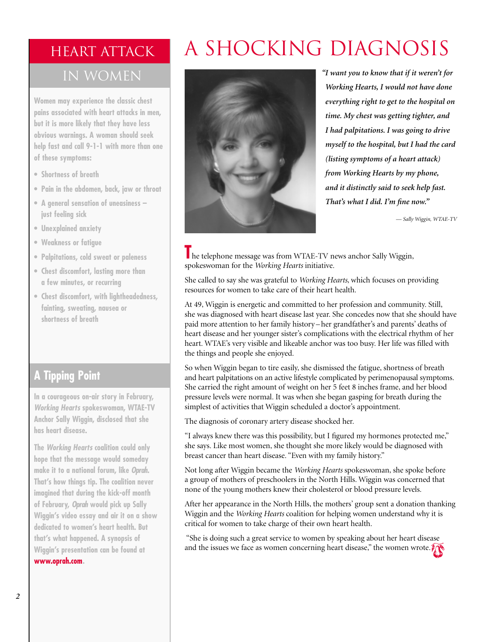## **HEART ATTACK**

### in Women

**Women may experience the classic chest pains associated with heart attacks in men, but it is more likely that they have less obvious warnings. A woman should seek help fast and call 9-1-1 with more than one of these symptoms:**

- **Shortness of breath**
- **Pain in the abdomen, back, jaw or throat**
- **A general sensation of uneasiness – just feeling sick**
- **Unexplained anxiety**
- **Weakness or fatigue**
- **Palpitations, cold sweat or paleness**
- **Chest discomfort, lasting more than a few minutes, or recurring**
- **Chest discomfort, with lightheadedness, fainting, sweating, nausea or shortness of breath**

## **A Tipping Point**

**In a courageous on-air story in February,** *Working Hearts* **spokeswoman, WTAE-TV Anchor Sally Wiggin, disclosed that she has heart disease.** 

**The** *Working Hearts* **coalition could only hope that the message would someday make it to a national forum, like** *Oprah***. That's how things tip. The coalition never imagined that during the kick-off month of February,** *Oprah* **would pick up Sally Wiggin's video essay and air it on a show dedicated to women's heart health. But that's what happened. A synopsis of Wiggin's presentation can be found at**

**www.oprah.com.**

# A SHOCKING DIAGNOSIS



*"I want you to know that if it weren't for Working Hearts, I would not have done everything right to get to the hospital on time. My chest was getting tighter, and I had palpitations. I was going to drive myself to the hospital, but I had the card (listing symptoms of a heart attack) from Working Hearts by my phone, and it distinctly said to seek help fast. That's what I did. I'm fine now."*

*— Sally Wiggin, WTAE-TV*

**T**he telephone message was from WTAE-TV news anchor Sally Wiggin, spokeswoman for the *Working Hearts* initiative.

She called to say she was grateful to *Working Hearts*, which focuses on providing resources for women to take care of their heart health.

At 49, Wiggin is energetic and committed to her profession and community. Still, she was diagnosed with heart disease last year. She concedes now that she should have paid more attention to her family history – her grandfather's and parents' deaths of heart disease and her younger sister's complications with the electrical rhythm of her heart. WTAE's very visible and likeable anchor was too busy. Her life was filled with the things and people she enjoyed.

So when Wiggin began to tire easily, she dismissed the fatigue, shortness of breath and heart palpitations on an active lifestyle complicated by perimenopausal symptoms. She carried the right amount of weight on her 5 feet 8 inches frame, and her blood pressure levels were normal. It was when she began gasping for breath during the simplest of activities that Wiggin scheduled a doctor's appointment.

The diagnosis of coronary artery disease shocked her.

"I always knew there was this possibility, but I figured my hormones protected me," she says. Like most women, she thought she more likely would be diagnosed with breast cancer than heart disease. "Even with my family history."

Not long after Wiggin became the *Working Hearts* spokeswoman, she spoke before a group of mothers of preschoolers in the North Hills. Wiggin was concerned that none of the young mothers knew their cholesterol or blood pressure levels.

After her appearance in the North Hills, the mothers' group sent a donation thanking Wiggin and the *Working Hearts* coalition for helping women understand why it is critical for women to take charge of their own heart health.

"She is doing such a great service to women by speaking about her heart disease and the issues we face as women concerning heart disease," the women wrote.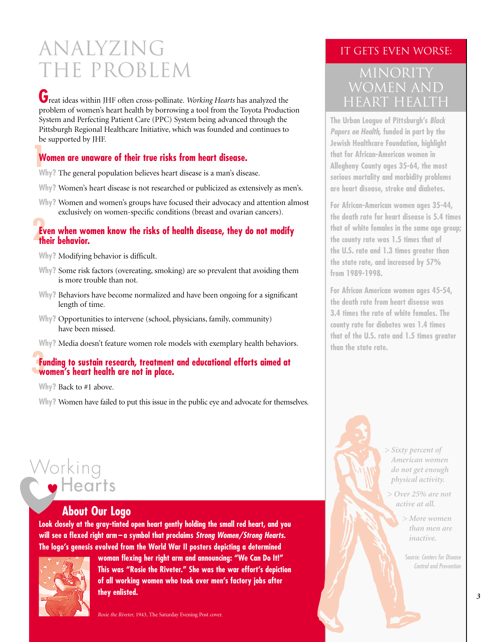# ANALYZING THE PROBLEM

**G**reat ideas within JHF often cross-pollinate. *Working Hearts* has analyzed the problem of women's heart health by borrowing a tool from the Toyota Production System and Perfecting Patient Care (PPC) System being advanced through the Pittsburgh Regional Healthcare Initiative, which was founded and continues to be supported by JHF.

## **1 Wor Women are unaware of their true risks from heart disease.**

- **Why?** The general population believes heart disease is a man's disease.
- **Why?** Women's heart disease is not researched or publicized as extensively as men's.
- **Why?** Women and women's groups have focused their advocacy and attention almost exclusively on women-specific conditions (breast and ovarian cancers).

#### **2**<br>**2**<br>**2**<br>**1**<br>**1 Even when women know the risks of health disease, they do not modify their behavior.**

- **Why?** Modifying behavior is difficult.
- **Why?** Some risk factors (overeating, smoking) are so prevalent that avoiding them is more trouble than not.
- **Why?** Behaviors have become normalized and have been ongoing for a significant length of time.
- **Why?** Opportunities to intervene (school, physicians, family, community) have been missed.
- **Why?** Media doesn't feature women role models with exemplary health behaviors.

## **3 women's heart health are not in place. Funding to sustain research, treatment and educational efforts aimed at**

**Why?** Back to #1 above.

**Why?** Women have failed to put this issue in the public eye and advocate for themselves.

# Working  $\bullet$  Hearts

#### **About Our Logo**

**Look closely at the gray-tinted open heart gently holding the small red heart, and you will see a flexed right arm – a symbol that proclaims** *Strong Women/Strong Hearts***. The logo's genesis evolved from the World War II posters depicting a determined**



**woman flexing her right arm and announcing: "We Can Do It!" This was "Rosie the Riveter." She was the war effort's depiction of all working women who took over men's factory jobs after they enlisted.**

*Rosie the Riveter,* 1943, The Saturday Evening Post cover.

#### IT GETS EVEN WORSE:

## **MINORITY** Women and Heart Health

**The Urban League of Pittsburgh's** *Black Papers on Health,* **funded in part by the Jewish Healthcare Foundation, highlight that for African-American women in Allegheny County ages 35-64, the most serious mortality and morbidity problems are heart disease, stroke and diabetes.**

**For African-American women ages 35-44, the death rate for heart disease is 5.4 times that of white females in the same age group; the county rate was 1.5 times that of the U.S. rate and 1.3 times greater than the state rate, and increased by 57% from 1989-1998.**

**For African American women ages 45-54, the death rate from heart disease was 3.4 times the rate of white females. The county rate for diabetes was 1.4 times that of the U.S. rate and 1.5 times greater than the state rate.**

> *> Sixty percent of American women do not get enough physical activity.*

*> Over 25% are not active at all.*

> *> More women than men are inactive.*

Source: *Centers for Disease Control and Prevention*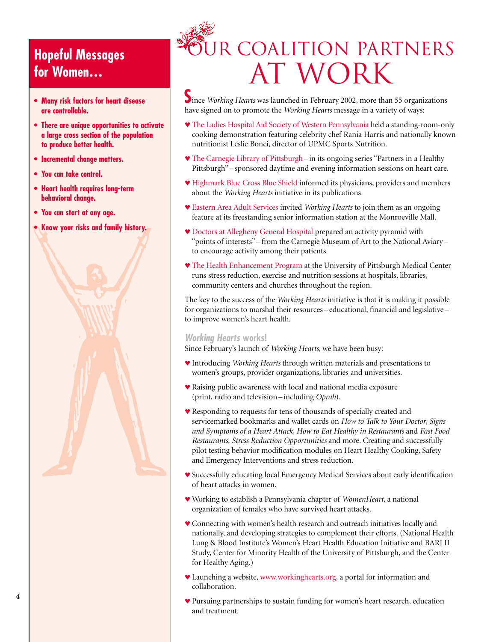# **Hopeful Messages for Women…**

- **Many risk factors for heart disease are controllable.**
- **There are unique opportunities to activate a large cross section of the population to produce better health.**
- **Incremental change matters.**
- **You can take control.**
- **Heart health requires long-term behavioral change.**
- **You can start at any age.**
- **Know your risks and family history.**





# R COALITION PARTNERS AT WORK

**S**ince *Working Hearts* was launched in February 2002, more than 55 organizations have signed on to promote the *Working Hearts* message in a variety of ways:

- ♥ The Ladies Hospital Aid Society of Western Pennsylvania held a standing-room-only cooking demonstration featuring celebrity chef Rania Harris and nationally known nutritionist Leslie Bonci, director of UPMC Sports Nutrition.
- ♥ The Carnegie Library of Pittsburgh in its ongoing series "Partners in a Healthy Pittsburgh" – sponsored daytime and evening information sessions on heart care.
- ♥ Highmark Blue Cross Blue Shield informed its physicians, providers and members about the *Working Hearts* initiative in its publications.
- ♥ Eastern Area Adult Services invited *Working Hearts* to join them as an ongoing feature at its freestanding senior information station at the Monroeville Mall.
- ♥ Doctors at Allegheny General Hospital prepared an activity pyramid with "points of interests" – from the Carnegie Museum of Art to the National Aviary – to encourage activity among their patients.
- ♥ The Health Enhancement Program at the University of Pittsburgh Medical Center runs stress reduction, exercise and nutrition sessions at hospitals, libraries, community centers and churches throughout the region.

The key to the success of the *Working Hearts* initiative is that it is making it possible for organizations to marshal their resources – educational, financial and legislative – to improve women's heart health.

#### *Working Hearts* **works!**

Since February's launch of *Working Hearts*, we have been busy:

- ♥ Introducing *Working Hearts* through written materials and presentations to women's groups, provider organizations, libraries and universities.
- ♥ Raising public awareness with local and national media exposure (print, radio and television – including *Oprah*).
- ♥ Responding to requests for tens of thousands of specially created and servicemarked bookmarks and wallet cards on *How to Talk to Your Doctor*, *Signs and Symptoms of a Heart Attack*, *How to Eat Healthy in Restaurants* and *Fast Food Restaurants*, *Stress Reduction Opportunities* and more. Creating and successfully pilot testing behavior modification modules on Heart Healthy Cooking, Safety and Emergency Interventions and stress reduction.
- ♥ Successfully educating local Emergency Medical Services about early identification of heart attacks in women.
- ♥ Working to establish a Pennsylvania chapter of *WomenHeart*, a national organization of females who have survived heart attacks.
- ♥ Connecting with women's health research and outreach initiatives locally and nationally, and developing strategies to complement their efforts. (National Health Lung & Blood Institute's Women's Heart Health Education Initiative and BARI II Study, Center for Minority Health of the University of Pittsburgh, and the Center for Healthy Aging.)
- ♥ Launching a website, www.workinghearts.org, a portal for information and collaboration.
- ♥ Pursuing partnerships to sustain funding for women's heart research, education and treatment.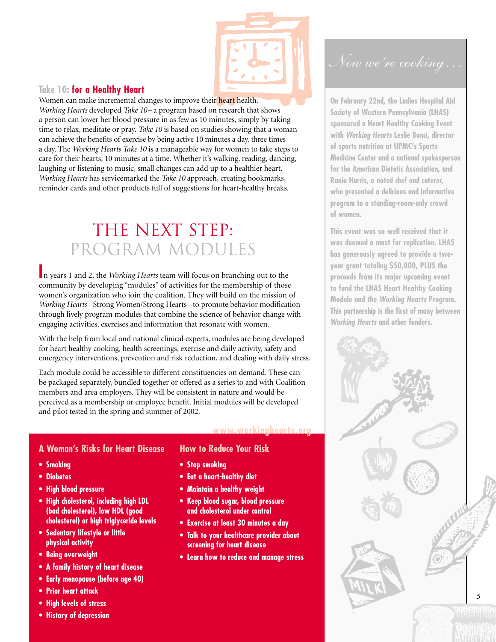

#### **Take 10: for a Healthy Heart**

Women can make incremental changes to improve their heart health. *Working Hearts* developed *Take 10* – a program based on research that shows a person can lower her blood pressure in as few as 10 minutes, simply by taking time to relax, meditate or pray. *Take 10* is based on studies showing that a woman can achieve the benefits of exercise by being active 10 minutes a day, three times a day. The *Working Hearts Take 10* is a manageable way for women to take steps to care for their hearts, 10 minutes at a time. Whether it's walking, reading, dancing, laughing or listening to music, small changes can add up to a healthier heart. *Working Hearts* has servicemarked the *Take 10* approach, creating bookmarks, reminder cards and other products full of suggestions for heart-healthy breaks.

# THE NEXT STEP: PROGRAM MODULES

**I**n years 1 and 2, the *Working Hearts* team will focus on branching out to the community by developing "modules" of activities for the membership of those women's organization who join the coalition. They will build on the mission of *Working Hearts* – Strong Women/Strong Hearts – to promote behavior modification through lively program modules that combine the science of behavior change with engaging activities, exercises and information that resonate with women.

With the help from local and national clinical experts, modules are being developed for heart healthy cooking, health screenings, exercise and daily activity, safety and emergency interventions, prevention and risk reduction, and dealing with daily stress.

Each module could be accessible to different constituencies on demand. These can be packaged separately, bundled together or offered as a series to and with Coalition members and area employers. They will be consistent in nature and would be perceived as a membership or employee benefit. Initial modules will be developed and pilot tested in the spring and summer of 2002.

#### **www.workinghearts.org**

#### **A Woman's Risks for Heart Disease**

- **Smoking**
- **Diabetes**
- **High blood pressure**
- **High cholesterol, including high LDL (bad cholesterol), low HDL (good cholesterol) or high triglyceride levels**
- **Sedentary lifestyle or little physical activity**
- **Being overweight**
- **A family history of heart disease**
- **Early menopause (before age 40)**
- **Prior heart attack**
- **High levels of stress**
- **History of depression**
- **Stop smoking**
- **Eat a heart-healthy diet**
- **Maintain a healthy weight**

**How to Reduce Your Risk**

- **Keep blood sugar, blood pressure and cholesterol under control**
- **Exercise at least 30 minutes a day**
- **Talk to your healthcare provider about screening for heart disease**
- **Learn how to reduce and manage stress**

**On February 22nd, the Ladies Hospital Aid Society of Western Pennsylvania (LHAS) sponsored a Heart Healthy Cooking Event with** *Working Hearts* **Leslie Bonci, director of sports nutrition at UPMC's Sports Medicine Center and a national spokesperson for the American Dietetic Association, and Rania Harris, a noted chef and caterer, who presented a delicious and informative program to a standing-room-only crowd of women.** 

**This event was so well received that it was deemed a must for replication. LHAS has generously agreed to provide a twoyear grant totaling \$50,000, PLUS the proceeds from its major upcoming event to fund the LHAS Heart Healthy Cooking Module and the** *Working Hearts* **Program. This partnership is the first of many between** *Working Hearts* **and other funders.**

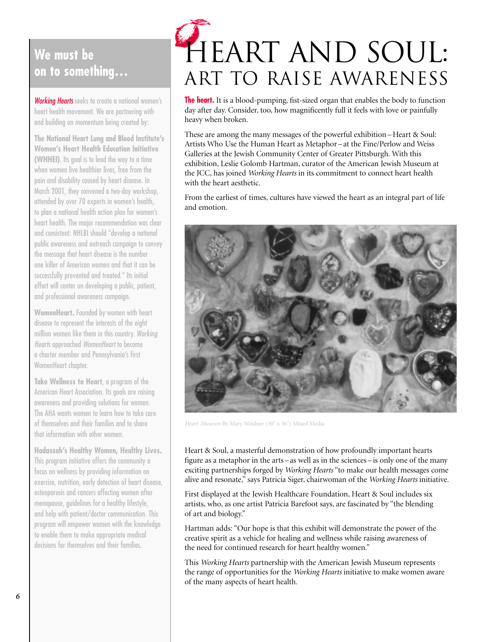# **We must be on to something…**

*Working Hearts* seeks to create a national women's heart health movement. We are partnering with and building on momentum being created by:

**The National Heart Lung and Blood Institute's Women's Heart Health Education Initiative (WHHEI)**. Its goal is to lead the way to a time when women live healthier lives, free from the pain and disability caused by heart disease. In March 2001, they convened a two-day workshop, attended by over 70 experts in women's health, to plan a national health action plan for women's heart health. The major recommendation was clear and consistent: NHLBI should "develop a national public awareness and outreach campaign to convey the message that heart disease is the number one killer of American women and that it can be successfully prevented and treated." Its initial effort will center on developing a public, patient, and professional awareness campaign.

**WomenHeart.** Founded by women with heart disease to represent the interests of the eight million women like them in this country. *Working Hearts* approached *WomenHeart* to become a charter member and Pennsylvania's first WomenHeart chapter.

**Take Wellness to Heart**, a program of the American Heart Association. Its goals are raising awareness and providing solutions for women. The AHA wants women to learn how to take care of themselves and their families and to share that information with other women.

**Hadassah's Healthy Women, Healthy Lives.** This program initiative offers the community a focus on wellness by providing information on exercise, nutrition, early detection of heart disease, osteoporosis and cancers affecting women after menopause, guidelines for a healthy lifestyle, and help with patient/doctor communication. This program will empower women with the knowledge to enable them to make appropriate medical decisions for themselves and their families.

# HEART AND SOUL: ART TO RAISE AWARENESS

**The heart.** It is a blood-pumping, fist-sized organ that enables the body to function day after day. Consider, too, how magnificently full it feels with love or painfully heavy when broken.

These are among the many messages of the powerful exhibition – Heart & Soul: Artists Who Use the Human Heart as Metaphor – at the Fine/Perlow and Weiss Galleries at the Jewish Community Center of Greater Pittsburgh. With this exhibition, Leslie Golomb Hartman, curator of the American Jewish Museum at the JCC, has joined *Working Hearts* in its commitment to connect heart health with the heart aesthetic.

From the earliest of times, cultures have viewed the heart as an integral part of life and emotion.



*Heart Museum* By Mary Weidner (30" x 36") Mixed Media

Heart & Soul, a masterful demonstration of how profoundly important hearts figure as a metaphor in the arts – as well as in the sciences – is only one of the many exciting partnerships forged by *Working Hearts* "to make our health messages come alive and resonate,'' says Patricia Siger, chairwoman of the *Working Hearts* initiative.

First displayed at the Jewish Healthcare Foundation, Heart & Soul includes six artists, who, as one artist Patricia Barefoot says, are fascinated by "the blending of art and biology."

Hartman adds: "Our hope is that this exhibit will demonstrate the power of the creative spirit as a vehicle for healing and wellness while raising awareness of the need for continued research for heart healthy women."

This *Working Hearts* partnership with the American Jewish Museum represents the range of opportunities for the *Working Hearts* initiative to make women aware of the many aspects of heart health.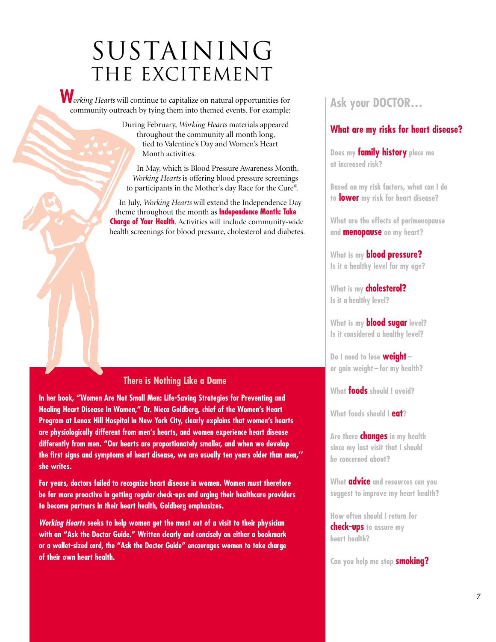# SUSTAINING THE EXCITEMENT

**W** *orking Hearts* will continue to capitalize on natural opportunities for **Ask your DOCTOR...** community outreach by tying them into themed events. For example:

> During February, *Working Hearts* materials appeared throughout the community all month long, tied to Valentine's Day and Women's Heart Month activities.

In May, which is Blood Pressure Awareness Month, *Working Hearts* is offering blood pressure screenings to participants in the Mother's day Race for the Cure®.

In July, *Working Hearts* will extend the Independence Day theme throughout the month as **Independence Month: Take Charge of Your Health**. Activities will include community-wide health screenings for blood pressure, cholesterol and diabetes.

#### **There is Nothing Like a Dame**

**In her book, "Women Are Not Small Men: Life-Saving Strategies for Preventing and Healing Heart Disease In Women," Dr. Nieca Goldberg, chief of the Women's Heart Program at Lenox Hill Hospital in New York City, clearly explains that women's hearts are physiologically different from men's hearts, and women experience heart disease differently from men. "Our hearts are proportionately smaller, and when we develop the first signs and symptoms of heart disease, we are usually ten years older than men,'' she writes.**

**For years, doctors failed to recognize heart disease in women. Women must therefore be far more proactive in getting regular check-ups and urging their healthcare providers to become partners in their heart health, Goldberg emphasizes.**

*Working Hearts* **seeks to help women get the most out of a visit to their physician with an "Ask the Doctor Guide." Written clearly and concisely on either a bookmark or a wallet-sized card, the "Ask the Doctor Guide" encourages women to take charge of their own heart health.**

#### **What are my risks for heart disease?**

**Does my family history place me at increased risk?**

**Based on my risk factors, what can I do to lower my risk for heart disease?**

**What are the effects of perimenopause and menopause on my heart?**

**What is my blood pressure? Is it a healthy level for my age?**

**What is my cholesterol? Is it a healthy level?**

**What is my blood sugar level? Is it considered a healthy level?**

**Do I need to lose weight – or gain weight – for my health?**

**What foods should I avoid?**

**What foods should I eat?** 

**Are there changes in my health since my last visit that I should be concerned about?**

**What advice and resources can you suggest to improve my heart health?**

**How often should I return for check-ups to assure my heart health?** 

**Can you help me stop smoking?**